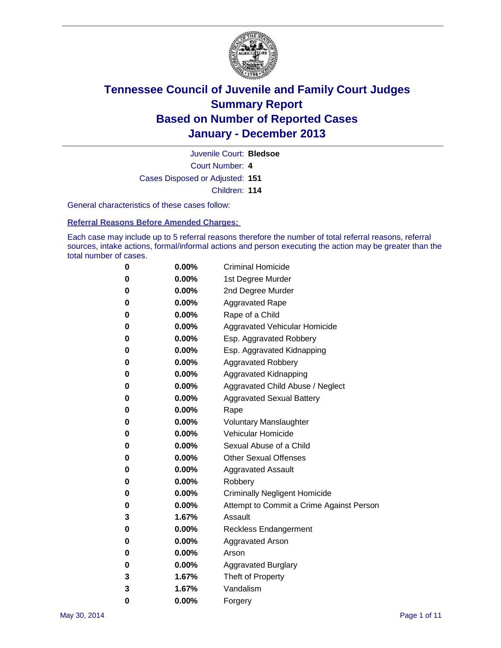

Court Number: **4** Juvenile Court: **Bledsoe** Cases Disposed or Adjusted: **151** Children: **114**

General characteristics of these cases follow:

**Referral Reasons Before Amended Charges:** 

Each case may include up to 5 referral reasons therefore the number of total referral reasons, referral sources, intake actions, formal/informal actions and person executing the action may be greater than the total number of cases.

| 0 | $0.00\%$ | <b>Criminal Homicide</b>                 |
|---|----------|------------------------------------------|
| 0 | 0.00%    | 1st Degree Murder                        |
| 0 | 0.00%    | 2nd Degree Murder                        |
| 0 | $0.00\%$ | <b>Aggravated Rape</b>                   |
| 0 | 0.00%    | Rape of a Child                          |
| 0 | 0.00%    | Aggravated Vehicular Homicide            |
| 0 | $0.00\%$ | Esp. Aggravated Robbery                  |
| 0 | $0.00\%$ | Esp. Aggravated Kidnapping               |
| 0 | $0.00\%$ | <b>Aggravated Robbery</b>                |
| 0 | $0.00\%$ | Aggravated Kidnapping                    |
| 0 | $0.00\%$ | Aggravated Child Abuse / Neglect         |
| 0 | 0.00%    | <b>Aggravated Sexual Battery</b>         |
| 0 | 0.00%    | Rape                                     |
| 0 | $0.00\%$ | <b>Voluntary Manslaughter</b>            |
| 0 | 0.00%    | Vehicular Homicide                       |
| 0 | 0.00%    | Sexual Abuse of a Child                  |
| 0 | $0.00\%$ | <b>Other Sexual Offenses</b>             |
| 0 | 0.00%    | <b>Aggravated Assault</b>                |
| 0 | 0.00%    | Robbery                                  |
| 0 | 0.00%    | <b>Criminally Negligent Homicide</b>     |
| 0 | 0.00%    | Attempt to Commit a Crime Against Person |
| 3 | 1.67%    | Assault                                  |
| 0 | 0.00%    | <b>Reckless Endangerment</b>             |
| 0 | 0.00%    | <b>Aggravated Arson</b>                  |
| 0 | 0.00%    | Arson                                    |
| 0 | 0.00%    | <b>Aggravated Burglary</b>               |
| 3 | 1.67%    | Theft of Property                        |
| 3 | 1.67%    | Vandalism                                |
| 0 | 0.00%    | Forgery                                  |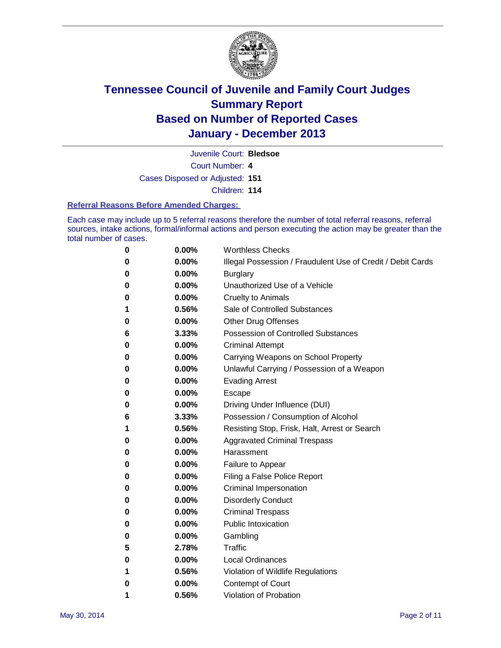

Juvenile Court: **Bledsoe**

Court Number: **4**

Cases Disposed or Adjusted: **151**

Children: **114**

#### **Referral Reasons Before Amended Charges:**

Each case may include up to 5 referral reasons therefore the number of total referral reasons, referral sources, intake actions, formal/informal actions and person executing the action may be greater than the total number of cases.

| 0 | 0.00%    | <b>Worthless Checks</b>                                     |
|---|----------|-------------------------------------------------------------|
| 0 | 0.00%    | Illegal Possession / Fraudulent Use of Credit / Debit Cards |
| 0 | 0.00%    | <b>Burglary</b>                                             |
| 0 | 0.00%    | Unauthorized Use of a Vehicle                               |
| 0 | 0.00%    | <b>Cruelty to Animals</b>                                   |
| 1 | 0.56%    | Sale of Controlled Substances                               |
| 0 | 0.00%    | <b>Other Drug Offenses</b>                                  |
| 6 | 3.33%    | Possession of Controlled Substances                         |
| 0 | 0.00%    | <b>Criminal Attempt</b>                                     |
| 0 | $0.00\%$ | Carrying Weapons on School Property                         |
| 0 | 0.00%    | Unlawful Carrying / Possession of a Weapon                  |
| 0 | 0.00%    | <b>Evading Arrest</b>                                       |
| 0 | 0.00%    | Escape                                                      |
| 0 | 0.00%    | Driving Under Influence (DUI)                               |
| 6 | 3.33%    | Possession / Consumption of Alcohol                         |
| 1 | 0.56%    | Resisting Stop, Frisk, Halt, Arrest or Search               |
| 0 | 0.00%    | <b>Aggravated Criminal Trespass</b>                         |
| 0 | 0.00%    | Harassment                                                  |
| 0 | 0.00%    | Failure to Appear                                           |
| 0 | 0.00%    | Filing a False Police Report                                |
| 0 | 0.00%    | Criminal Impersonation                                      |
| 0 | 0.00%    | <b>Disorderly Conduct</b>                                   |
| 0 | 0.00%    | <b>Criminal Trespass</b>                                    |
| 0 | 0.00%    | <b>Public Intoxication</b>                                  |
| 0 | 0.00%    | Gambling                                                    |
| 5 | 2.78%    | Traffic                                                     |
| 0 | 0.00%    | <b>Local Ordinances</b>                                     |
| 1 | 0.56%    | Violation of Wildlife Regulations                           |
| 0 | 0.00%    | Contempt of Court                                           |
| 1 | 0.56%    | <b>Violation of Probation</b>                               |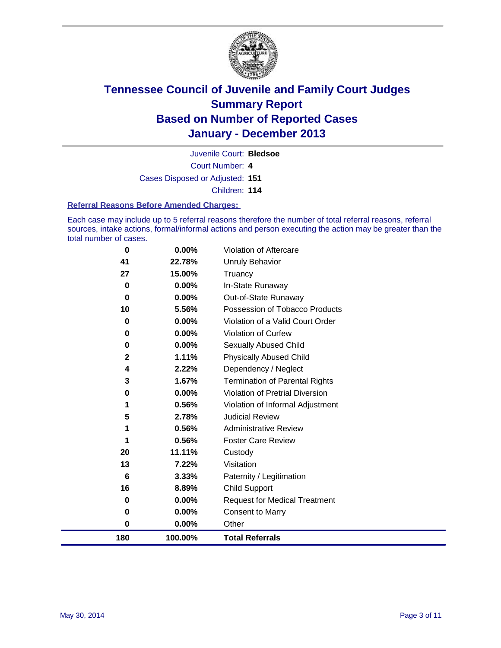

Court Number: **4** Juvenile Court: **Bledsoe** Cases Disposed or Adjusted: **151**

Children: **114**

#### **Referral Reasons Before Amended Charges:**

Each case may include up to 5 referral reasons therefore the number of total referral reasons, referral sources, intake actions, formal/informal actions and person executing the action may be greater than the total number of cases.

| $\bf{0}$     | $0.00\%$ | <b>Violation of Aftercare</b>          |
|--------------|----------|----------------------------------------|
| 41           | 22.78%   | <b>Unruly Behavior</b>                 |
| 27           | 15.00%   | Truancy                                |
| 0            | 0.00%    | In-State Runaway                       |
| 0            | $0.00\%$ | Out-of-State Runaway                   |
| 10           | 5.56%    | Possession of Tobacco Products         |
| 0            | 0.00%    | Violation of a Valid Court Order       |
| 0            | $0.00\%$ | <b>Violation of Curfew</b>             |
| 0            | $0.00\%$ | Sexually Abused Child                  |
| $\mathbf{2}$ | 1.11%    | <b>Physically Abused Child</b>         |
| 4            | 2.22%    | Dependency / Neglect                   |
| 3            | 1.67%    | <b>Termination of Parental Rights</b>  |
| 0            | $0.00\%$ | <b>Violation of Pretrial Diversion</b> |
| 1            | 0.56%    | Violation of Informal Adjustment       |
| 5            | 2.78%    | <b>Judicial Review</b>                 |
| 1            | 0.56%    | <b>Administrative Review</b>           |
| 1            | 0.56%    | <b>Foster Care Review</b>              |
| 20           | 11.11%   | Custody                                |
| 13           | 7.22%    | Visitation                             |
| 6            | 3.33%    | Paternity / Legitimation               |
| 16           | 8.89%    | <b>Child Support</b>                   |
| 0            | 0.00%    | <b>Request for Medical Treatment</b>   |
| 0            | 0.00%    | <b>Consent to Marry</b>                |
| 0            | $0.00\%$ | Other                                  |
| 180          | 100.00%  | <b>Total Referrals</b>                 |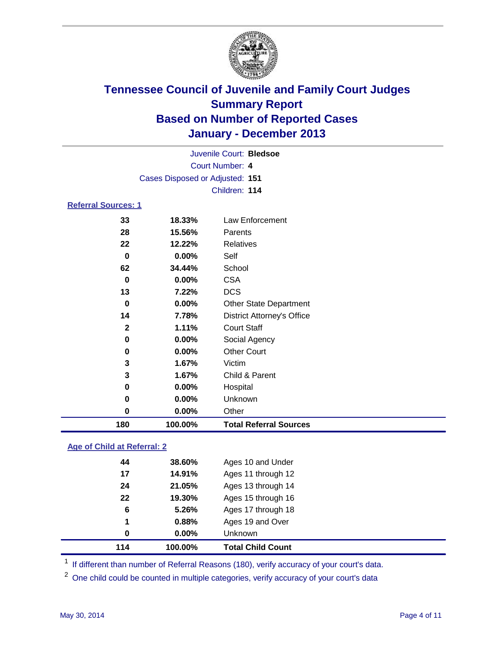

|                            |                                 | Juvenile Court: Bledsoe           |  |
|----------------------------|---------------------------------|-----------------------------------|--|
|                            |                                 | Court Number: 4                   |  |
|                            | Cases Disposed or Adjusted: 151 |                                   |  |
|                            |                                 | Children: 114                     |  |
| <b>Referral Sources: 1</b> |                                 |                                   |  |
| 33                         | 18.33%                          | Law Enforcement                   |  |
| 28                         | 15.56%                          | Parents                           |  |
| 22                         | 12.22%                          | Relatives                         |  |
| $\bf{0}$                   | $0.00\%$                        | Self                              |  |
| 62                         | 34.44%                          | School                            |  |
| $\bf{0}$                   | $0.00\%$                        | <b>CSA</b>                        |  |
| 13                         | 7.22%                           | <b>DCS</b>                        |  |
| 0                          | $0.00\%$                        | <b>Other State Department</b>     |  |
| 14                         | 7.78%                           | <b>District Attorney's Office</b> |  |
| $\mathbf{2}$               | 1.11%                           | <b>Court Staff</b>                |  |
| 0                          | $0.00\%$                        | Social Agency                     |  |
| 0                          | $0.00\%$                        | <b>Other Court</b>                |  |
| 3                          | 1.67%                           | Victim                            |  |
| 3                          | 1.67%                           | Child & Parent                    |  |
| 0                          | $0.00\%$                        | Hospital                          |  |
| 0                          | $0.00\%$                        | Unknown                           |  |
| 0                          | 0.00%                           | Other                             |  |
| 180                        | 100.00%                         | <b>Total Referral Sources</b>     |  |

### **Age of Child at Referral: 2**

| 1<br>0 | 0.88%<br>$0.00\%$ | Ages 19 and Over<br><b>Unknown</b> |
|--------|-------------------|------------------------------------|
|        |                   |                                    |
|        |                   |                                    |
| 6      | 5.26%             | Ages 17 through 18                 |
| 22     | 19.30%            | Ages 15 through 16                 |
| 24     | 21.05%            | Ages 13 through 14                 |
| 17     | 14.91%            | Ages 11 through 12                 |
| 44     | 38.60%            | Ages 10 and Under                  |
|        |                   |                                    |

<sup>1</sup> If different than number of Referral Reasons (180), verify accuracy of your court's data.

<sup>2</sup> One child could be counted in multiple categories, verify accuracy of your court's data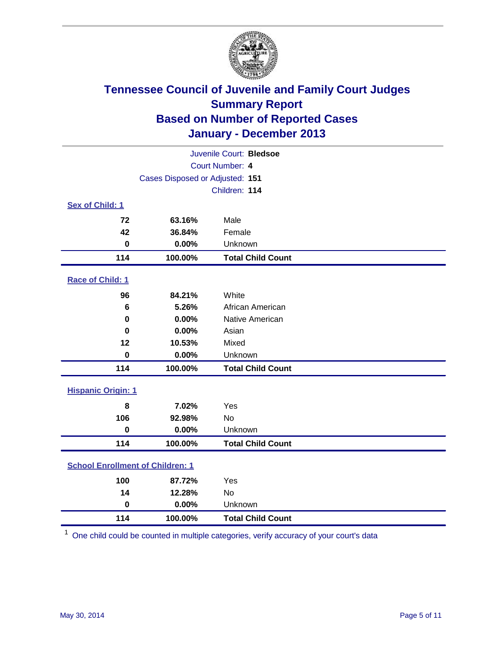

| Juvenile Court: Bledsoe                    |                                 |                          |  |  |  |
|--------------------------------------------|---------------------------------|--------------------------|--|--|--|
|                                            | Court Number: 4                 |                          |  |  |  |
|                                            | Cases Disposed or Adjusted: 151 |                          |  |  |  |
|                                            | Children: 114                   |                          |  |  |  |
| Sex of Child: 1                            |                                 |                          |  |  |  |
| 72                                         | 63.16%                          | Male                     |  |  |  |
| 42                                         | 36.84%                          | Female                   |  |  |  |
| $\bf{0}$                                   | 0.00%                           | Unknown                  |  |  |  |
| 114                                        | 100.00%                         | <b>Total Child Count</b> |  |  |  |
| Race of Child: 1                           |                                 |                          |  |  |  |
| 96                                         | 84.21%                          | White                    |  |  |  |
| 6                                          | 5.26%                           | African American         |  |  |  |
| $\bf{0}$                                   | 0.00%                           | Native American          |  |  |  |
| 0                                          | 0.00%                           | Asian                    |  |  |  |
| 12                                         | 10.53%                          | Mixed                    |  |  |  |
| $\bf{0}$                                   | 0.00%                           | Unknown                  |  |  |  |
| 114                                        | 100.00%                         | <b>Total Child Count</b> |  |  |  |
| <b>Hispanic Origin: 1</b>                  |                                 |                          |  |  |  |
| 8                                          | 7.02%                           | Yes                      |  |  |  |
| 106                                        | 92.98%                          | <b>No</b>                |  |  |  |
| $\mathbf 0$                                | 0.00%                           | Unknown                  |  |  |  |
| 114                                        | 100.00%                         | <b>Total Child Count</b> |  |  |  |
| <b>School Enrollment of Children: 1</b>    |                                 |                          |  |  |  |
| 100                                        | 87.72%                          | Yes                      |  |  |  |
| 14                                         | 12.28%                          | <b>No</b>                |  |  |  |
| $\mathbf 0$                                | 0.00%                           | Unknown                  |  |  |  |
| 114<br>100.00%<br><b>Total Child Count</b> |                                 |                          |  |  |  |

One child could be counted in multiple categories, verify accuracy of your court's data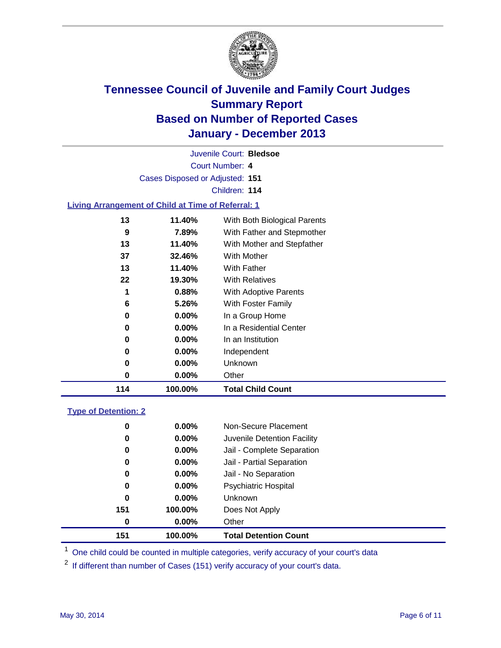

Court Number: **4** Juvenile Court: **Bledsoe** Cases Disposed or Adjusted: **151** Children: **114 Living Arrangement of Child at Time of Referral: 1**

| 114 | 100.00%  | <b>Total Child Count</b>     |
|-----|----------|------------------------------|
| 0   | 0.00%    | Other                        |
| 0   | $0.00\%$ | Unknown                      |
| 0   | $0.00\%$ | Independent                  |
| 0   | $0.00\%$ | In an Institution            |
| 0   | $0.00\%$ | In a Residential Center      |
| 0   | $0.00\%$ | In a Group Home              |
| 6   | 5.26%    | With Foster Family           |
| 1   | $0.88\%$ | <b>With Adoptive Parents</b> |
| 22  | 19.30%   | <b>With Relatives</b>        |
| 13  | 11.40%   | <b>With Father</b>           |
| 37  | 32.46%   | <b>With Mother</b>           |
| 13  | 11.40%   | With Mother and Stepfather   |
| 9   | 7.89%    | With Father and Stepmother   |
| 13  | 11.40%   | With Both Biological Parents |

### **Type of Detention: 2**

| 151 | 100.00%  | <b>Total Detention Count</b> |  |
|-----|----------|------------------------------|--|
| 0   | $0.00\%$ | Other                        |  |
| 151 | 100.00%  | Does Not Apply               |  |
| 0   | $0.00\%$ | <b>Unknown</b>               |  |
| 0   | $0.00\%$ | <b>Psychiatric Hospital</b>  |  |
| 0   | 0.00%    | Jail - No Separation         |  |
| 0   | $0.00\%$ | Jail - Partial Separation    |  |
| 0   | 0.00%    | Jail - Complete Separation   |  |
| 0   | $0.00\%$ | Juvenile Detention Facility  |  |
| 0   | 0.00%    | Non-Secure Placement         |  |
|     |          |                              |  |

<sup>1</sup> One child could be counted in multiple categories, verify accuracy of your court's data

If different than number of Cases (151) verify accuracy of your court's data.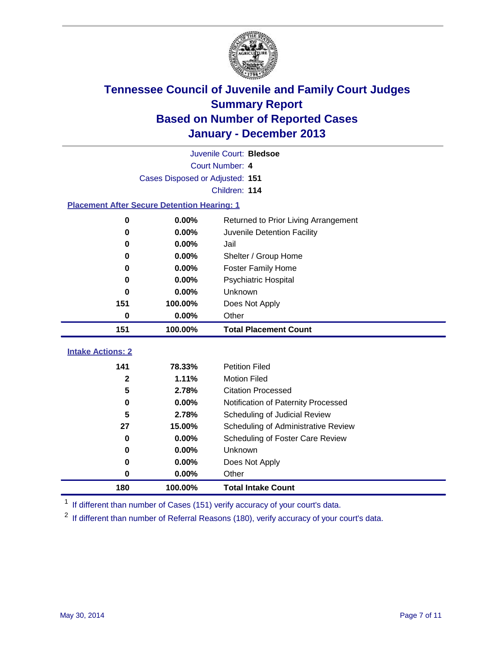

|                          | Juvenile Court: Bledsoe                            |                                                  |  |  |  |  |
|--------------------------|----------------------------------------------------|--------------------------------------------------|--|--|--|--|
|                          | Court Number: 4                                    |                                                  |  |  |  |  |
|                          | Cases Disposed or Adjusted: 151                    |                                                  |  |  |  |  |
|                          | Children: 114                                      |                                                  |  |  |  |  |
|                          | <b>Placement After Secure Detention Hearing: 1</b> |                                                  |  |  |  |  |
| 0                        | 0.00%                                              | Returned to Prior Living Arrangement             |  |  |  |  |
| $\bf{0}$                 | 0.00%                                              | Juvenile Detention Facility                      |  |  |  |  |
| 0                        | 0.00%                                              | Jail                                             |  |  |  |  |
| 0                        | 0.00%                                              | Shelter / Group Home                             |  |  |  |  |
| 0                        | 0.00%                                              | Foster Family Home                               |  |  |  |  |
| 0                        | 0.00%                                              | Psychiatric Hospital                             |  |  |  |  |
| 0                        | 0.00%                                              | Unknown                                          |  |  |  |  |
| 151                      | 100.00%                                            | Does Not Apply                                   |  |  |  |  |
| 0                        | 0.00%                                              | Other                                            |  |  |  |  |
| 151                      | 100.00%                                            | <b>Total Placement Count</b>                     |  |  |  |  |
| <b>Intake Actions: 2</b> |                                                    |                                                  |  |  |  |  |
| 141                      | 78.33%                                             |                                                  |  |  |  |  |
| $\mathbf{2}$             |                                                    |                                                  |  |  |  |  |
|                          |                                                    | <b>Petition Filed</b>                            |  |  |  |  |
| 5                        | 1.11%<br>2.78%                                     | <b>Motion Filed</b><br><b>Citation Processed</b> |  |  |  |  |
| 0                        | 0.00%                                              | Notification of Paternity Processed              |  |  |  |  |
| 5                        | 2.78%                                              | Scheduling of Judicial Review                    |  |  |  |  |
| 27                       | 15.00%                                             | Scheduling of Administrative Review              |  |  |  |  |
| 0                        | 0.00%                                              | Scheduling of Foster Care Review                 |  |  |  |  |
| 0                        | 0.00%                                              | Unknown                                          |  |  |  |  |
| 0                        | 0.00%                                              | Does Not Apply                                   |  |  |  |  |
| 0                        | 0.00%                                              | Other                                            |  |  |  |  |

<sup>1</sup> If different than number of Cases (151) verify accuracy of your court's data.

<sup>2</sup> If different than number of Referral Reasons (180), verify accuracy of your court's data.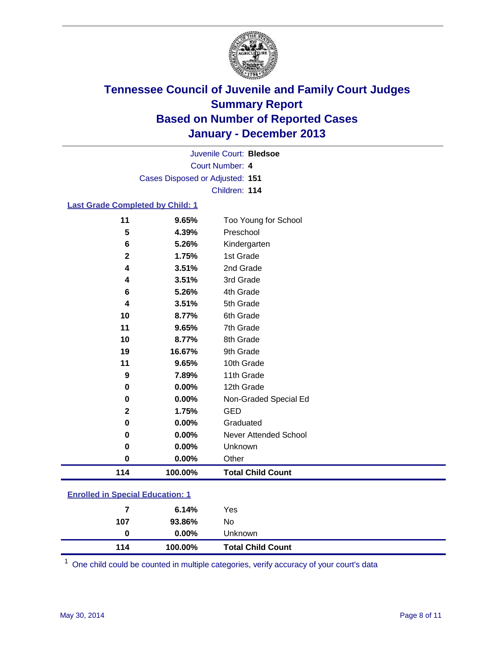

Court Number: **4** Juvenile Court: **Bledsoe** Cases Disposed or Adjusted: **151** Children: **114**

### **Last Grade Completed by Child: 1**

| 114          | 100.00% | <b>Total Child Count</b> |
|--------------|---------|--------------------------|
| $\bf{0}$     | 0.00%   | Other                    |
| 0            | 0.00%   | Unknown                  |
| 0            | 0.00%   | Never Attended School    |
| 0            | 0.00%   | Graduated                |
| $\mathbf{2}$ | 1.75%   | <b>GED</b>               |
| 0            | 0.00%   | Non-Graded Special Ed    |
| 0            | 0.00%   | 12th Grade               |
| 9            | 7.89%   | 11th Grade               |
| 11           | 9.65%   | 10th Grade               |
| 19           | 16.67%  | 9th Grade                |
| 10           | 8.77%   | 8th Grade                |
| 11           | 9.65%   | 7th Grade                |
| 10           | 8.77%   | 6th Grade                |
| 4            | 3.51%   | 5th Grade                |
| 6            | 5.26%   | 4th Grade                |
| 4            | 3.51%   | 3rd Grade                |
| 4            | 3.51%   | 2nd Grade                |
| $\mathbf{2}$ | 1.75%   | 1st Grade                |
| 6            | 5.26%   | Kindergarten             |
| 5            | 4.39%   | Preschool                |
| 11           | 9.65%   | Too Young for School     |

| 114 | 100.00%  | <b>Total Child Count</b> |
|-----|----------|--------------------------|
| 0   | $0.00\%$ | Unknown                  |
| 107 | 93.86%   | No.                      |
| 7   | 6.14%    | Yes                      |
|     |          |                          |

One child could be counted in multiple categories, verify accuracy of your court's data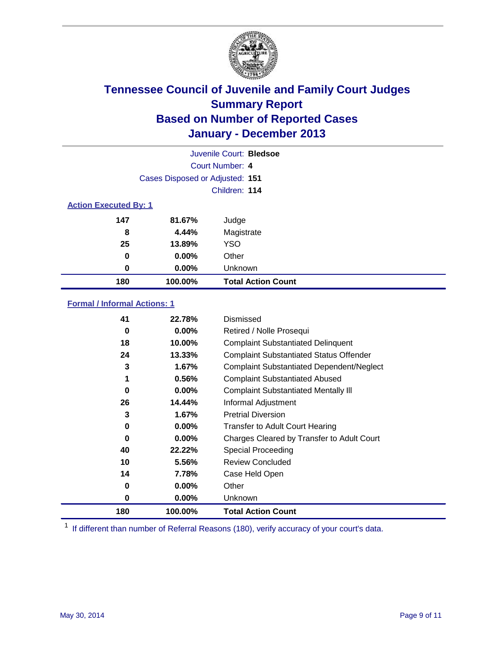

|                              |                                 | Juvenile Court: Bledsoe   |  |  |  |
|------------------------------|---------------------------------|---------------------------|--|--|--|
|                              |                                 | Court Number: 4           |  |  |  |
|                              | Cases Disposed or Adjusted: 151 |                           |  |  |  |
|                              |                                 | Children: 114             |  |  |  |
| <b>Action Executed By: 1</b> |                                 |                           |  |  |  |
| 147                          | 81.67%                          | Judge                     |  |  |  |
| 8                            | 4.44%                           | Magistrate                |  |  |  |
| 25                           | 13.89%                          | <b>YSO</b>                |  |  |  |
| 0                            | $0.00\%$                        | Other                     |  |  |  |
| 0                            | 0.00%                           | Unknown                   |  |  |  |
| 180                          | 100.00%                         | <b>Total Action Count</b> |  |  |  |

### **Formal / Informal Actions: 1**

| 41       | 22.78%   | Dismissed                                        |
|----------|----------|--------------------------------------------------|
| 0        | $0.00\%$ | Retired / Nolle Prosequi                         |
| 18       | 10.00%   | <b>Complaint Substantiated Delinquent</b>        |
| 24       | 13.33%   | <b>Complaint Substantiated Status Offender</b>   |
| 3        | 1.67%    | <b>Complaint Substantiated Dependent/Neglect</b> |
| 1        | 0.56%    | <b>Complaint Substantiated Abused</b>            |
| $\bf{0}$ | $0.00\%$ | <b>Complaint Substantiated Mentally III</b>      |
| 26       | 14.44%   | Informal Adjustment                              |
| 3        | 1.67%    | <b>Pretrial Diversion</b>                        |
| 0        | $0.00\%$ | <b>Transfer to Adult Court Hearing</b>           |
| 0        | $0.00\%$ | Charges Cleared by Transfer to Adult Court       |
| 40       | 22.22%   | Special Proceeding                               |
| 10       | 5.56%    | <b>Review Concluded</b>                          |
| 14       | 7.78%    | Case Held Open                                   |
| 0        | $0.00\%$ | Other                                            |
| 0        | $0.00\%$ | Unknown                                          |
| 180      | 100.00%  | <b>Total Action Count</b>                        |

<sup>1</sup> If different than number of Referral Reasons (180), verify accuracy of your court's data.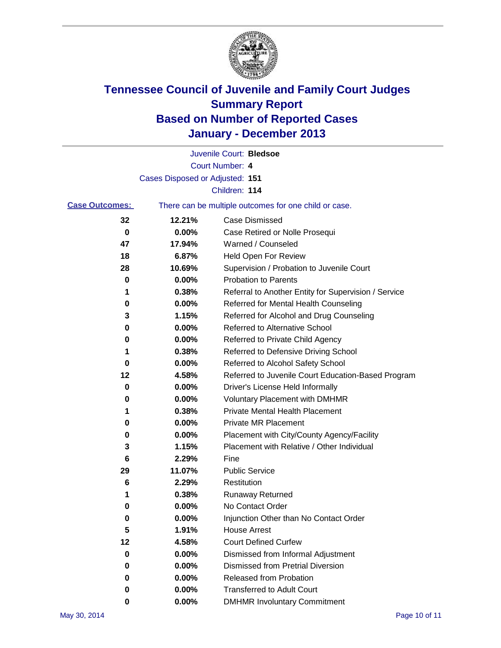

|                       |                                 | Juvenile Court: Bledsoe                               |
|-----------------------|---------------------------------|-------------------------------------------------------|
|                       |                                 | Court Number: 4                                       |
|                       | Cases Disposed or Adjusted: 151 |                                                       |
|                       |                                 | Children: 114                                         |
| <b>Case Outcomes:</b> |                                 | There can be multiple outcomes for one child or case. |
| 32                    | 12.21%                          | Case Dismissed                                        |
| 0                     | $0.00\%$                        | Case Retired or Nolle Prosequi                        |
| 47                    | 17.94%                          | Warned / Counseled                                    |
| 18                    | 6.87%                           | Held Open For Review                                  |
| 28                    | 10.69%                          | Supervision / Probation to Juvenile Court             |
| 0                     | 0.00%                           | <b>Probation to Parents</b>                           |
| 1                     | 0.38%                           | Referral to Another Entity for Supervision / Service  |
| 0                     | 0.00%                           | Referred for Mental Health Counseling                 |
| 3                     | 1.15%                           | Referred for Alcohol and Drug Counseling              |
| 0                     | 0.00%                           | <b>Referred to Alternative School</b>                 |
| 0                     | 0.00%                           | Referred to Private Child Agency                      |
| 1                     | 0.38%                           | Referred to Defensive Driving School                  |
| 0                     | 0.00%                           | Referred to Alcohol Safety School                     |
| 12                    | 4.58%                           | Referred to Juvenile Court Education-Based Program    |
| 0                     | 0.00%                           | Driver's License Held Informally                      |
| 0                     | 0.00%                           | <b>Voluntary Placement with DMHMR</b>                 |
| 1                     | 0.38%                           | <b>Private Mental Health Placement</b>                |
| 0                     | 0.00%                           | Private MR Placement                                  |
| 0                     | 0.00%                           | Placement with City/County Agency/Facility            |
| 3                     | 1.15%                           | Placement with Relative / Other Individual            |
| 6                     | 2.29%                           | Fine                                                  |
| 29                    | 11.07%                          | <b>Public Service</b>                                 |
| 6                     | 2.29%                           | Restitution                                           |
| 1                     | 0.38%                           | Runaway Returned                                      |
| 0                     | 0.00%                           | No Contact Order                                      |
| 0                     | $0.00\%$                        | Injunction Other than No Contact Order                |
| 5                     | 1.91%                           | <b>House Arrest</b>                                   |
| 12                    | 4.58%                           | <b>Court Defined Curfew</b>                           |
| $\bf{0}$              | 0.00%                           | Dismissed from Informal Adjustment                    |
| 0                     | 0.00%                           | <b>Dismissed from Pretrial Diversion</b>              |
| 0                     | 0.00%                           | <b>Released from Probation</b>                        |
| 0                     | 0.00%                           | <b>Transferred to Adult Court</b>                     |
| 0                     | $0.00\%$                        | <b>DMHMR Involuntary Commitment</b>                   |